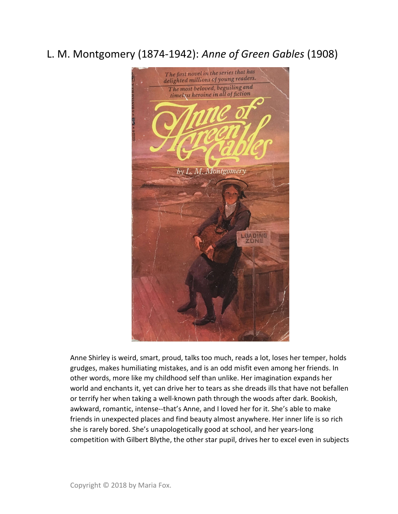## L. M. Montgomery (1874-1942): Anne of Green Gables (1908)



Anne Shirley is weird, smart, proud, talks too much, reads a lot, loses her temper, holds grudges, makes humiliating mistakes, and is an odd misfit even among her friends. In other words, more like my childhood self than unlike. Her imagination expands her world and enchants it, yet can drive her to tears as she dreads ills that have not befallen or terrify her when taking a well-known path through the woods after dark. Bookish, awkward, romantic, intense--that's Anne, and I loved her for it. She's able to make friends in unexpected places and find beauty almost anywhere. Her inner life is so rich she is rarely bored. She's unapologetically good at school, and her years-long competition with Gilbert Blythe, the other star pupil, drives her to excel even in subjects